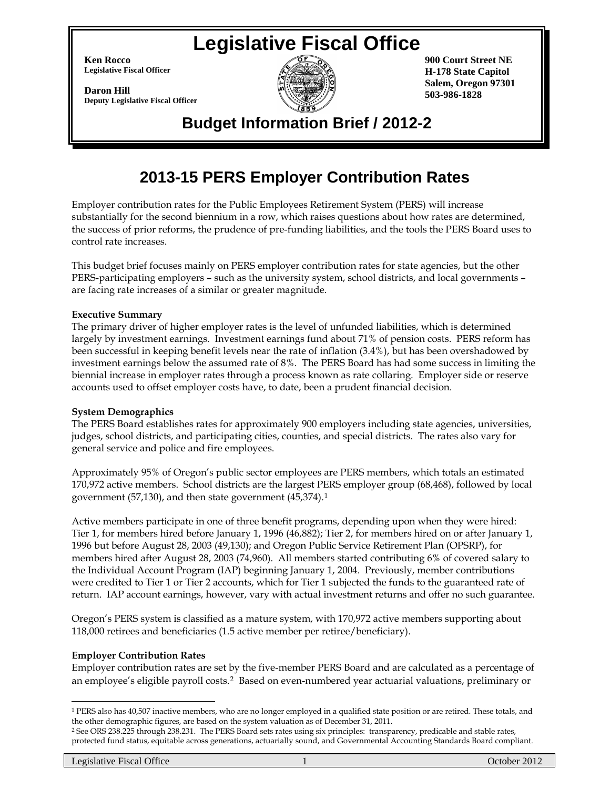# **Legislative Fiscal Office**

**Ken Rocco Legislative Fiscal Officer**

**Daron Hill Deputy Legislative Fiscal Officer**



**900 Court Street NE H-178 State Capitol Salem, Oregon 97301 503-986-1828**

# **Budget Information Brief / 2012-2**

# **2013-15 PERS Employer Contribution Rates**

Employer contribution rates for the Public Employees Retirement System (PERS) will increase substantially for the second biennium in a row, which raises questions about how rates are determined, the success of prior reforms, the prudence of pre-funding liabilities, and the tools the PERS Board uses to control rate increases.

This budget brief focuses mainly on PERS employer contribution rates for state agencies, but the other PERS-participating employers – such as the university system, school districts, and local governments – are facing rate increases of a similar or greater magnitude.

#### **Executive Summary**

The primary driver of higher employer rates is the level of unfunded liabilities, which is determined largely by investment earnings. Investment earnings fund about 71% of pension costs. PERS reform has been successful in keeping benefit levels near the rate of inflation (3.4%), but has been overshadowed by investment earnings below the assumed rate of 8%. The PERS Board has had some success in limiting the biennial increase in employer rates through a process known as rate collaring. Employer side or reserve accounts used to offset employer costs have, to date, been a prudent financial decision.

## **System Demographics**

The PERS Board establishes rates for approximately 900 employers including state agencies, universities, judges, school districts, and participating cities, counties, and special districts. The rates also vary for general service and police and fire employees.

Approximately 95% of Oregon's public sector employees are PERS members, which totals an estimated 170,972 active members. School districts are the largest PERS employer group (68,468), followed by local government (57,130), and then state government (45,374).[1](#page-0-0)

Active members participate in one of three benefit programs, depending upon when they were hired: Tier 1, for members hired before January 1, 1996 (46,882); Tier 2, for members hired on or after January 1, 1996 but before August 28, 2003 (49,130); and Oregon Public Service Retirement Plan (OPSRP), for members hired after August 28, 2003 (74,960). All members started contributing 6% of covered salary to the Individual Account Program (IAP) beginning January 1, 2004. Previously, member contributions were credited to Tier 1 or Tier 2 accounts, which for Tier 1 subjected the funds to the guaranteed rate of return. IAP account earnings, however, vary with actual investment returns and offer no such guarantee.

Oregon's PERS system is classified as a mature system, with 170,972 active members supporting about 118,000 retirees and beneficiaries (1.5 active member per retiree/beneficiary).

## **Employer Contribution Rates**

Employer contribution rates are set by the five-member PERS Board and are calculated as a percentage of an employee's eligible payroll costs.[2](#page-0-1) Based on even-numbered year actuarial valuations, preliminary or

 $\overline{a}$ 

<span id="page-0-0"></span><sup>1</sup> PERS also has 40,507 inactive members, who are no longer employed in a qualified state position or are retired. These totals, and the other demographic figures, are based on the system valuation as of December 31, 2011.

<span id="page-0-1"></span><sup>2</sup> See ORS 238.225 through 238.231. The PERS Board sets rates using six principles: transparency, predicable and stable rates, protected fund status, equitable across generations, actuarially sound, and Governmental Accounting Standards Board compliant.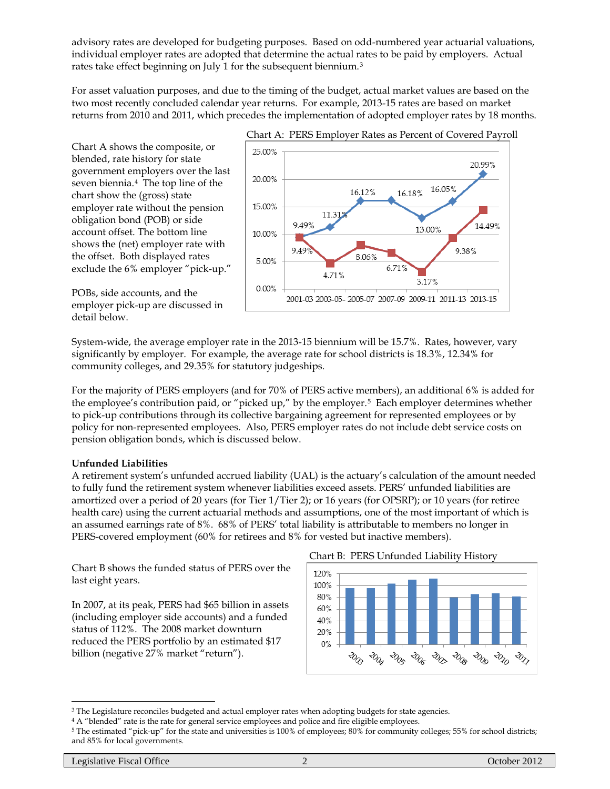advisory rates are developed for budgeting purposes. Based on odd-numbered year actuarial valuations, individual employer rates are adopted that determine the actual rates to be paid by employers. Actual rates take effect beginning on July 1 for the subsequent biennium.[3](#page-1-0)

For asset valuation purposes, and due to the timing of the budget, actual market values are based on the two most recently concluded calendar year returns. For example, 2013-15 rates are based on market returns from 2010 and 2011, which precedes the implementation of adopted employer rates by 18 months.

Chart A shows the composite, or blended, rate history for state government employers over the last seven biennia.[4](#page-1-1) The top line of the chart show the (gross) state employer rate without the pension obligation bond (POB) or side account offset. The bottom line shows the (net) employer rate with the offset. Both displayed rates exclude the 6% employer "pick-up."



POBs, side accounts, and the employer pick-up are discussed in detail below.

System-wide, the average employer rate in the 2013-15 biennium will be 15.7%. Rates, however, vary significantly by employer. For example, the average rate for school districts is 18.3%, 12.34% for community colleges, and 29.35% for statutory judgeships.

For the majority of PERS employers (and for 70% of PERS active members), an additional 6% is added for the employee's contribution paid, or "picked up," by the employer.[5](#page-1-2) Each employer determines whether to pick-up contributions through its collective bargaining agreement for represented employees or by policy for non-represented employees. Also, PERS employer rates do not include debt service costs on pension obligation bonds, which is discussed below.

## **Unfunded Liabilities**

A retirement system's unfunded accrued liability (UAL) is the actuary's calculation of the amount needed to fully fund the retirement system whenever liabilities exceed assets. PERS' unfunded liabilities are amortized over a period of 20 years (for Tier 1/Tier 2); or 16 years (for OPSRP); or 10 years (for retiree health care) using the current actuarial methods and assumptions, one of the most important of which is an assumed earnings rate of 8%. 68% of PERS' total liability is attributable to members no longer in PERS-covered employment (60% for retirees and 8% for vested but inactive members).

Chart B shows the funded status of PERS over the last eight years.

In 2007, at its peak, PERS had \$65 billion in assets (including employer side accounts) and a funded status of 112%. The 2008 market downturn reduced the PERS portfolio by an estimated \$17 billion (negative 27% market "return").





<span id="page-1-0"></span><sup>3</sup> The Legislature reconciles budgeted and actual employer rates when adopting budgets for state agencies.

 $\overline{a}$ 

<span id="page-1-1"></span><sup>4</sup> A "blended" rate is the rate for general service employees and police and fire eligible employees.

<span id="page-1-2"></span><sup>5</sup> The estimated "pick-up" for the state and universities is 100% of employees; 80% for community colleges; 55% for school districts; and 85% for local governments.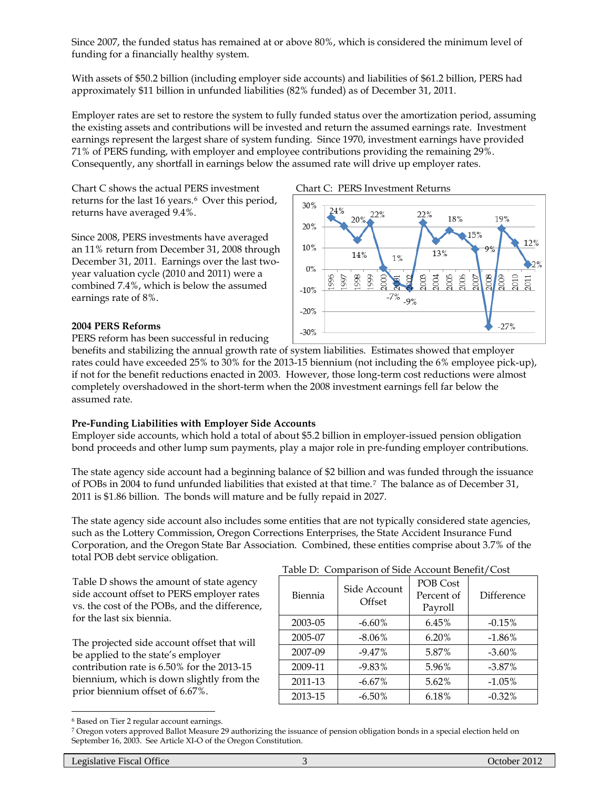Since 2007, the funded status has remained at or above 80%, which is considered the minimum level of funding for a financially healthy system.

With assets of \$50.2 billion (including employer side accounts) and liabilities of \$61.2 billion, PERS had approximately \$11 billion in unfunded liabilities (82% funded) as of December 31, 2011.

Employer rates are set to restore the system to fully funded status over the amortization period, assuming the existing assets and contributions will be invested and return the assumed earnings rate. Investment earnings represent the largest share of system funding. Since 1970, investment earnings have provided 71% of PERS funding, with employer and employee contributions providing the remaining 29%. Consequently, any shortfall in earnings below the assumed rate will drive up employer rates.

Chart C shows the actual PERS investment Chart C: PERS Investment Returns returns for the last 1[6](#page-2-0) years.<sup>6</sup> Over this period, returns have averaged 9.4%.

Since 2008, PERS investments have averaged an 11% return from December 31, 2008 through December 31, 2011. Earnings over the last twoyear valuation cycle (2010 and 2011) were a combined 7.4%, which is below the assumed earnings rate of 8%.



# **2004 PERS Reforms**

PERS reform has been successful in reducing

benefits and stabilizing the annual growth rate of system liabilities. Estimates showed that employer rates could have exceeded 25% to 30% for the 2013-15 biennium (not including the 6% employee pick-up), if not for the benefit reductions enacted in 2003. However, those long-term cost reductions were almost completely overshadowed in the short-term when the 2008 investment earnings fell far below the assumed rate.

## **Pre-Funding Liabilities with Employer Side Accounts**

Employer side accounts, which hold a total of about \$5.2 billion in employer-issued pension obligation bond proceeds and other lump sum payments, play a major role in pre-funding employer contributions.

The state agency side account had a beginning balance of \$2 billion and was funded through the issuance of POBs in 2004 to fund unfunded liabilities that existed at that time.[7](#page-2-1) The balance as of December 31, 2011 is \$1.86 billion. The bonds will mature and be fully repaid in 2027.

The state agency side account also includes some entities that are not typically considered state agencies, such as the Lottery Commission, Oregon Corrections Enterprises, the State Accident Insurance Fund Corporation, and the Oregon State Bar Association. Combined, these entities comprise about 3.7% of the total POB debt service obligation.

Table D shows the amount of state agency side account offset to PERS employer rates vs. the cost of the POBs, and the difference, for the last six biennia.

The projected side account offset that will be applied to the state's employer contribution rate is 6.50% for the 2013-15 biennium, which is down slightly from the prior biennium offset of 6.67%.

|  | Table D: Comparison of Side Account Benefit/Cost |  |  |
|--|--------------------------------------------------|--|--|
|--|--------------------------------------------------|--|--|

| Biennia | Side Account<br>Offset | POB Cost<br>Percent of<br>Payroll | <b>Difference</b> |
|---------|------------------------|-----------------------------------|-------------------|
| 2003-05 | $-6.60\%$              | 6.45%                             | $-0.15%$          |
| 2005-07 | $-8.06\%$              | 6.20%                             | $-1.86\%$         |
| 2007-09 | $-9.47\%$              | 5.87%                             | $-3.60\%$         |
| 2009-11 | $-9.83\%$              | 5.96%                             | $-3.87\%$         |
| 2011-13 | $-6.67\%$              | 5.62%                             | $-1.05%$          |
| 2013-15 | $-6.50\%$              | 6.18%                             | $-0.32%$          |

 $\overline{a}$ 

<span id="page-2-1"></span><span id="page-2-0"></span> $6$  Based on Tier 2 regular account earnings.<br>7 Oregon voters approved Ballot Measure 29 authorizing the issuance of pension obligation bonds in a special election held on September 16, 2003. See Article XI-O of the Oregon Constitution.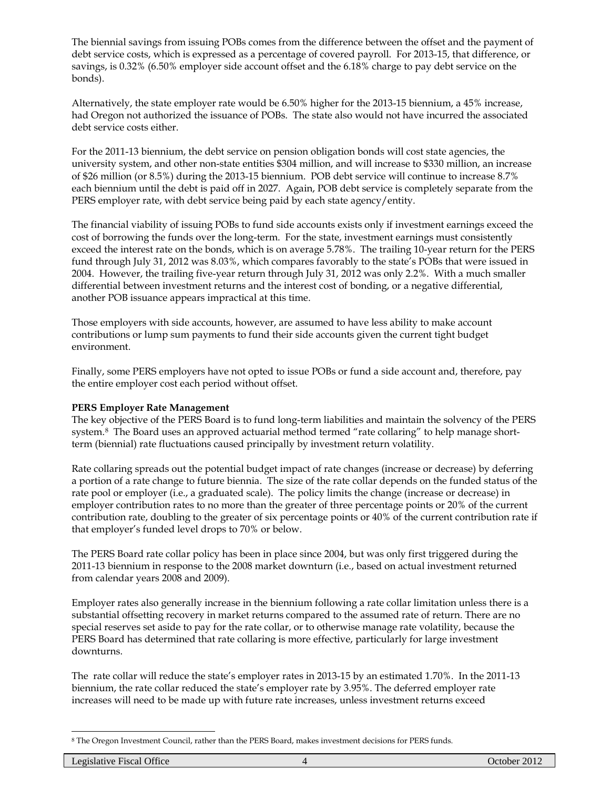The biennial savings from issuing POBs comes from the difference between the offset and the payment of debt service costs, which is expressed as a percentage of covered payroll. For 2013-15, that difference, or savings, is 0.32% (6.50% employer side account offset and the 6.18% charge to pay debt service on the bonds).

Alternatively, the state employer rate would be 6.50% higher for the 2013-15 biennium, a 45% increase, had Oregon not authorized the issuance of POBs. The state also would not have incurred the associated debt service costs either.

For the 2011-13 biennium, the debt service on pension obligation bonds will cost state agencies, the university system, and other non-state entities \$304 million, and will increase to \$330 million, an increase of \$26 million (or 8.5%) during the 2013-15 biennium. POB debt service will continue to increase 8.7% each biennium until the debt is paid off in 2027. Again, POB debt service is completely separate from the PERS employer rate, with debt service being paid by each state agency/entity.

The financial viability of issuing POBs to fund side accounts exists only if investment earnings exceed the cost of borrowing the funds over the long-term. For the state, investment earnings must consistently exceed the interest rate on the bonds, which is on average 5.78%. The trailing 10-year return for the PERS fund through July 31, 2012 was 8.03%, which compares favorably to the state's POBs that were issued in 2004. However, the trailing five-year return through July 31, 2012 was only 2.2%. With a much smaller differential between investment returns and the interest cost of bonding, or a negative differential, another POB issuance appears impractical at this time.

Those employers with side accounts, however, are assumed to have less ability to make account contributions or lump sum payments to fund their side accounts given the current tight budget environment.

Finally, some PERS employers have not opted to issue POBs or fund a side account and, therefore, pay the entire employer cost each period without offset.

## **PERS Employer Rate Management**

The key objective of the PERS Board is to fund long-term liabilities and maintain the solvency of the PERS system.<sup>8</sup> The Board uses an approved actuarial method termed "rate collaring" to help manage shortterm (biennial) rate fluctuations caused principally by investment return volatility.

Rate collaring spreads out the potential budget impact of rate changes (increase or decrease) by deferring a portion of a rate change to future biennia. The size of the rate collar depends on the funded status of the rate pool or employer (i.e., a graduated scale). The policy limits the change (increase or decrease) in employer contribution rates to no more than the greater of three percentage points or 20% of the current contribution rate, doubling to the greater of six percentage points or 40% of the current contribution rate if that employer's funded level drops to 70% or below.

The PERS Board rate collar policy has been in place since 2004, but was only first triggered during the 2011-13 biennium in response to the 2008 market downturn (i.e., based on actual investment returned from calendar years 2008 and 2009).

Employer rates also generally increase in the biennium following a rate collar limitation unless there is a substantial offsetting recovery in market returns compared to the assumed rate of return. There are no special reserves set aside to pay for the rate collar, or to otherwise manage rate volatility, because the PERS Board has determined that rate collaring is more effective, particularly for large investment downturns.

The rate collar will reduce the state's employer rates in 2013-15 by an estimated 1.70%. In the 2011-13 biennium, the rate collar reduced the state's employer rate by 3.95%. The deferred employer rate increases will need to be made up with future rate increases, unless investment returns exceed

<span id="page-3-0"></span> $\overline{a}$ <sup>8</sup> The Oregon Investment Council, rather than the PERS Board, makes investment decisions for PERS funds.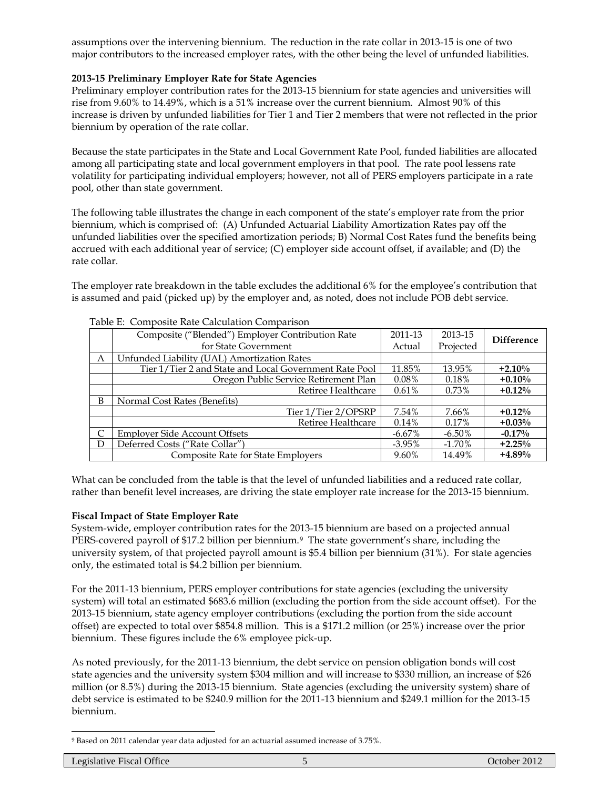assumptions over the intervening biennium. The reduction in the rate collar in 2013-15 is one of two major contributors to the increased employer rates, with the other being the level of unfunded liabilities.

## **2013-15 Preliminary Employer Rate for State Agencies**

Preliminary employer contribution rates for the 2013-15 biennium for state agencies and universities will rise from 9.60% to 14.49%, which is a 51% increase over the current biennium. Almost 90% of this increase is driven by unfunded liabilities for Tier 1 and Tier 2 members that were not reflected in the prior biennium by operation of the rate collar.

Because the state participates in the State and Local Government Rate Pool, funded liabilities are allocated among all participating state and local government employers in that pool. The rate pool lessens rate volatility for participating individual employers; however, not all of PERS employers participate in a rate pool, other than state government.

The following table illustrates the change in each component of the state's employer rate from the prior biennium, which is comprised of: (A) Unfunded Actuarial Liability Amortization Rates pay off the unfunded liabilities over the specified amortization periods; B) Normal Cost Rates fund the benefits being accrued with each additional year of service; (C) employer side account offset, if available; and (D) the rate collar.

The employer rate breakdown in the table excludes the additional 6% for the employee's contribution that is assumed and paid (picked up) by the employer and, as noted, does not include POB debt service.

|   | Table E. Composité Nate Calculation Comparison         |           |           |                   |  |  |  |
|---|--------------------------------------------------------|-----------|-----------|-------------------|--|--|--|
|   | Composite ("Blended") Employer Contribution Rate       | 2011-13   | 2013-15   | <b>Difference</b> |  |  |  |
|   | for State Government                                   | Actual    | Projected |                   |  |  |  |
| A | Unfunded Liability (UAL) Amortization Rates            |           |           |                   |  |  |  |
|   | Tier 1/Tier 2 and State and Local Government Rate Pool | 11.85%    | 13.95%    | $+2.10%$          |  |  |  |
|   | Oregon Public Service Retirement Plan                  | $0.08\%$  | 0.18%     | $+0.10%$          |  |  |  |
|   | Retiree Healthcare                                     | 0.61%     | $0.73\%$  | $+0.12\%$         |  |  |  |
| B | Normal Cost Rates (Benefits)                           |           |           |                   |  |  |  |
|   | Tier 1/Tier 2/OPSRP                                    | 7.54%     | 7.66%     | $+0.12\%$         |  |  |  |
|   | Retiree Healthcare                                     | 0.14%     | 0.17%     | $+0.03\%$         |  |  |  |
|   | <b>Employer Side Account Offsets</b>                   | $-6.67\%$ | $-6.50\%$ | $-0.17%$          |  |  |  |
| D | Deferred Costs ("Rate Collar")                         | $-3.95\%$ | $-1.70\%$ | $+2.25%$          |  |  |  |
|   | Composite Rate for State Employers                     | 9.60%     | 14.49%    | $+4.89\%$         |  |  |  |

#### Table E: Composite Rate Calculation Comparison

What can be concluded from the table is that the level of unfunded liabilities and a reduced rate collar, rather than benefit level increases, are driving the state employer rate increase for the 2013-15 biennium.

#### **Fiscal Impact of State Employer Rate**

System-wide, employer contribution rates for the 2013-15 biennium are based on a projected annual PERS-covered payroll of \$17.2 billion per biennium.<sup>[9](#page-4-0)</sup> The state government's share, including the university system, of that projected payroll amount is \$5.4 billion per biennium (31%). For state agencies only, the estimated total is \$4.2 billion per biennium.

For the 2011-13 biennium, PERS employer contributions for state agencies (excluding the university system) will total an estimated \$683.6 million (excluding the portion from the side account offset). For the 2013-15 biennium, state agency employer contributions (excluding the portion from the side account offset) are expected to total over \$854.8 million. This is a \$171.2 million (or 25%) increase over the prior biennium. These figures include the 6% employee pick-up.

As noted previously, for the 2011-13 biennium, the debt service on pension obligation bonds will cost state agencies and the university system \$304 million and will increase to \$330 million, an increase of \$26 million (or 8.5%) during the 2013-15 biennium. State agencies (excluding the university system) share of debt service is estimated to be \$240.9 million for the 2011-13 biennium and \$249.1 million for the 2013-15 biennium.

<span id="page-4-0"></span> $\overline{a}$ <sup>9</sup> Based on 2011 calendar year data adjusted for an actuarial assumed increase of 3.75%.